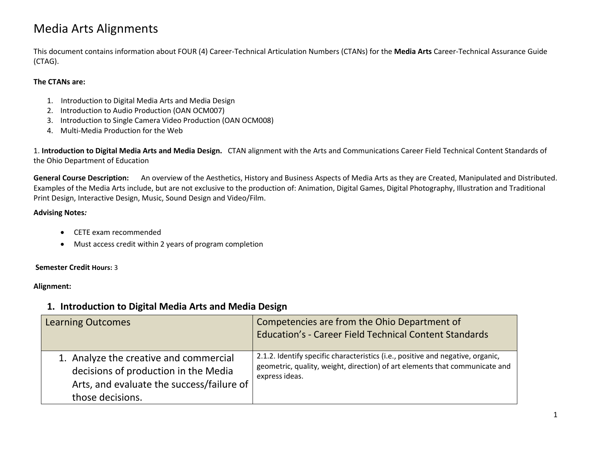# Media Arts Alignments

This document contains information about FOUR (4) Career-Technical Articulation Numbers (CTANs) for the **Media Arts** Career-Technical Assurance Guide (CTAG).

#### **The CTANs are:**

- 1. Introduction to Digital Media Arts and Media Design
- 2. Introduction to Audio Production (OAN OCM007)
- 3. Introduction to Single Camera Video Production (OAN OCM008)
- 4. Multi-Media Production for the Web

1. **Introduction to Digital Media Arts and Media Design.** CTAN alignment with the Arts and Communications Career Field Technical Content Standards of the Ohio Department of Education

**General Course Description:** An overview of the Aesthetics, History and Business Aspects of Media Arts as they are Created, Manipulated and Distributed. Examples of the Media Arts include, but are not exclusive to the production of: Animation, Digital Games, Digital Photography, Illustration and Traditional Print Design, Interactive Design, Music, Sound Design and Video/Film.

## **Advising Notes***:*

- CETE exam recommended
- Must access credit within 2 years of program completion

# **Semester Credit Hours:** 3

# **Alignment:**

# **1. Introduction to Digital Media Arts and Media Design**

| <b>Learning Outcomes</b>                                                                                                                        | Competencies are from the Ohio Department of<br>Education's - Career Field Technical Content Standards                                                                           |
|-------------------------------------------------------------------------------------------------------------------------------------------------|----------------------------------------------------------------------------------------------------------------------------------------------------------------------------------|
| 1. Analyze the creative and commercial<br>decisions of production in the Media<br>Arts, and evaluate the success/failure of<br>those decisions. | 2.1.2. Identify specific characteristics (i.e., positive and negative, organic,<br>geometric, quality, weight, direction) of art elements that communicate and<br>express ideas. |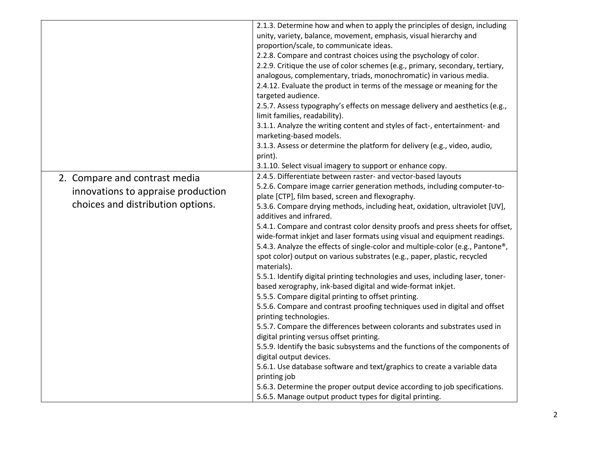|                                    | 2.1.3. Determine how and when to apply the principles of design, including      |
|------------------------------------|---------------------------------------------------------------------------------|
|                                    | unity, variety, balance, movement, emphasis, visual hierarchy and               |
|                                    | proportion/scale, to communicate ideas.                                         |
|                                    | 2.2.8. Compare and contrast choices using the psychology of color.              |
|                                    | 2.2.9. Critique the use of color schemes (e.g., primary, secondary, tertiary,   |
|                                    | analogous, complementary, triads, monochromatic) in various media.              |
|                                    | 2.4.12. Evaluate the product in terms of the message or meaning for the         |
|                                    | targeted audience.                                                              |
|                                    | 2.5.7. Assess typography's effects on message delivery and aesthetics (e.g.,    |
|                                    | limit families, readability).                                                   |
|                                    | 3.1.1. Analyze the writing content and styles of fact-, entertainment- and      |
|                                    | marketing-based models.                                                         |
|                                    | 3.1.3. Assess or determine the platform for delivery (e.g., video, audio,       |
|                                    | print).                                                                         |
|                                    | 3.1.10. Select visual imagery to support or enhance copy.                       |
| 2. Compare and contrast media      | 2.4.5. Differentiate between raster- and vector-based layouts                   |
| innovations to appraise production | 5.2.6. Compare image carrier generation methods, including computer-to-         |
|                                    | plate [CTP], film based, screen and flexography.                                |
| choices and distribution options.  | 5.3.6. Compare drying methods, including heat, oxidation, ultraviolet [UV],     |
|                                    | additives and infrared.                                                         |
|                                    | 5.4.1. Compare and contrast color density proofs and press sheets for offset,   |
|                                    | wide-format inkjet and laser formats using visual and equipment readings.       |
|                                    | 5.4.3. Analyze the effects of single-color and multiple-color (e.g., Pantone®,  |
|                                    | spot color) output on various substrates (e.g., paper, plastic, recycled        |
|                                    | materials).                                                                     |
|                                    | 5.5.1. Identify digital printing technologies and uses, including laser, toner- |
|                                    | based xerography, ink-based digital and wide-format inkjet.                     |
|                                    | 5.5.5. Compare digital printing to offset printing.                             |
|                                    | 5.5.6. Compare and contrast proofing techniques used in digital and offset      |
|                                    | printing technologies.                                                          |
|                                    | 5.5.7. Compare the differences between colorants and substrates used in         |
|                                    | digital printing versus offset printing.                                        |
|                                    | 5.5.9. Identify the basic subsystems and the functions of the components of     |
|                                    | digital output devices.                                                         |
|                                    | 5.6.1. Use database software and text/graphics to create a variable data        |
|                                    | printing job                                                                    |
|                                    | 5.6.3. Determine the proper output device according to job specifications.      |
|                                    | 5.6.5. Manage output product types for digital printing.                        |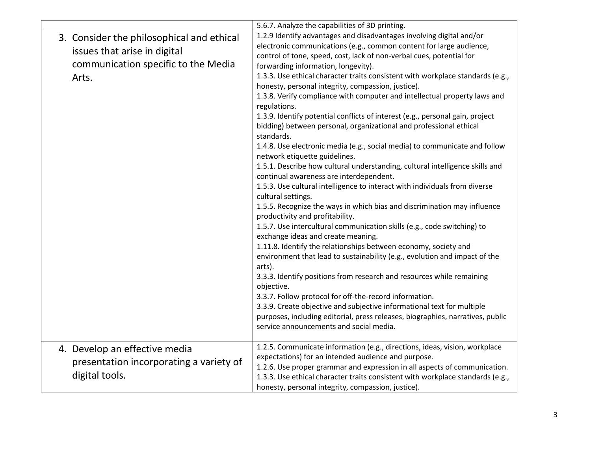|                                                                                                                           | 5.6.7. Analyze the capabilities of 3D printing.                                                                                                                                                                                                                                                                                                                                                                                                                                                                                                                                                                                                                                                                                                                                                                                                                                                                                                                                                                                                                                                                                                                                                                                                                                                                                                                                                                                                                                                                                                                                                                                                                                                                                                                       |
|---------------------------------------------------------------------------------------------------------------------------|-----------------------------------------------------------------------------------------------------------------------------------------------------------------------------------------------------------------------------------------------------------------------------------------------------------------------------------------------------------------------------------------------------------------------------------------------------------------------------------------------------------------------------------------------------------------------------------------------------------------------------------------------------------------------------------------------------------------------------------------------------------------------------------------------------------------------------------------------------------------------------------------------------------------------------------------------------------------------------------------------------------------------------------------------------------------------------------------------------------------------------------------------------------------------------------------------------------------------------------------------------------------------------------------------------------------------------------------------------------------------------------------------------------------------------------------------------------------------------------------------------------------------------------------------------------------------------------------------------------------------------------------------------------------------------------------------------------------------------------------------------------------------|
| 3. Consider the philosophical and ethical<br>issues that arise in digital<br>communication specific to the Media<br>Arts. | 1.2.9 Identify advantages and disadvantages involving digital and/or<br>electronic communications (e.g., common content for large audience,<br>control of tone, speed, cost, lack of non-verbal cues, potential for<br>forwarding information, longevity).<br>1.3.3. Use ethical character traits consistent with workplace standards (e.g.,<br>honesty, personal integrity, compassion, justice).<br>1.3.8. Verify compliance with computer and intellectual property laws and<br>regulations.<br>1.3.9. Identify potential conflicts of interest (e.g., personal gain, project<br>bidding) between personal, organizational and professional ethical<br>standards.<br>1.4.8. Use electronic media (e.g., social media) to communicate and follow<br>network etiquette guidelines.<br>1.5.1. Describe how cultural understanding, cultural intelligence skills and<br>continual awareness are interdependent.<br>1.5.3. Use cultural intelligence to interact with individuals from diverse<br>cultural settings.<br>1.5.5. Recognize the ways in which bias and discrimination may influence<br>productivity and profitability.<br>1.5.7. Use intercultural communication skills (e.g., code switching) to<br>exchange ideas and create meaning.<br>1.11.8. Identify the relationships between economy, society and<br>environment that lead to sustainability (e.g., evolution and impact of the<br>arts).<br>3.3.3. Identify positions from research and resources while remaining<br>objective.<br>3.3.7. Follow protocol for off-the-record information.<br>3.3.9. Create objective and subjective informational text for multiple<br>purposes, including editorial, press releases, biographies, narratives, public<br>service announcements and social media. |
| 4. Develop an effective media<br>presentation incorporating a variety of<br>digital tools.                                | 1.2.5. Communicate information (e.g., directions, ideas, vision, workplace<br>expectations) for an intended audience and purpose.<br>1.2.6. Use proper grammar and expression in all aspects of communication.<br>1.3.3. Use ethical character traits consistent with workplace standards (e.g.,<br>honesty, personal integrity, compassion, justice).                                                                                                                                                                                                                                                                                                                                                                                                                                                                                                                                                                                                                                                                                                                                                                                                                                                                                                                                                                                                                                                                                                                                                                                                                                                                                                                                                                                                                |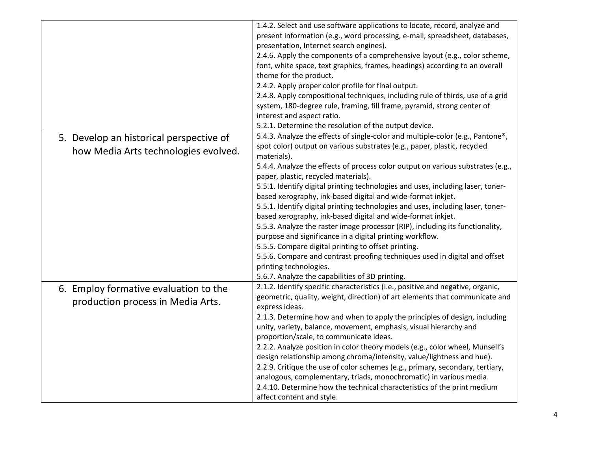|                                                                                 | 1.4.2. Select and use software applications to locate, record, analyze and<br>present information (e.g., word processing, e-mail, spreadsheet, databases,<br>presentation, Internet search engines).<br>2.4.6. Apply the components of a comprehensive layout (e.g., color scheme,<br>font, white space, text graphics, frames, headings) according to an overall<br>theme for the product.<br>2.4.2. Apply proper color profile for final output.<br>2.4.8. Apply compositional techniques, including rule of thirds, use of a grid<br>system, 180-degree rule, framing, fill frame, pyramid, strong center of<br>interest and aspect ratio.<br>5.2.1. Determine the resolution of the output device.                                                                                                                                                                                                                                                                  |
|---------------------------------------------------------------------------------|-------------------------------------------------------------------------------------------------------------------------------------------------------------------------------------------------------------------------------------------------------------------------------------------------------------------------------------------------------------------------------------------------------------------------------------------------------------------------------------------------------------------------------------------------------------------------------------------------------------------------------------------------------------------------------------------------------------------------------------------------------------------------------------------------------------------------------------------------------------------------------------------------------------------------------------------------------------------------|
| 5. Develop an historical perspective of<br>how Media Arts technologies evolved. | 5.4.3. Analyze the effects of single-color and multiple-color (e.g., Pantone®,<br>spot color) output on various substrates (e.g., paper, plastic, recycled<br>materials).<br>5.4.4. Analyze the effects of process color output on various substrates (e.g.,<br>paper, plastic, recycled materials).<br>5.5.1. Identify digital printing technologies and uses, including laser, toner-<br>based xerography, ink-based digital and wide-format inkjet.<br>5.5.1. Identify digital printing technologies and uses, including laser, toner-<br>based xerography, ink-based digital and wide-format inkjet.<br>5.5.3. Analyze the raster image processor (RIP), including its functionality,<br>purpose and significance in a digital printing workflow.<br>5.5.5. Compare digital printing to offset printing.<br>5.5.6. Compare and contrast proofing techniques used in digital and offset<br>printing technologies.<br>5.6.7. Analyze the capabilities of 3D printing. |
| 6. Employ formative evaluation to the<br>production process in Media Arts.      | 2.1.2. Identify specific characteristics (i.e., positive and negative, organic,<br>geometric, quality, weight, direction) of art elements that communicate and<br>express ideas.<br>2.1.3. Determine how and when to apply the principles of design, including<br>unity, variety, balance, movement, emphasis, visual hierarchy and<br>proportion/scale, to communicate ideas.<br>2.2.2. Analyze position in color theory models (e.g., color wheel, Munsell's<br>design relationship among chroma/intensity, value/lightness and hue).<br>2.2.9. Critique the use of color schemes (e.g., primary, secondary, tertiary,<br>analogous, complementary, triads, monochromatic) in various media.<br>2.4.10. Determine how the technical characteristics of the print medium<br>affect content and style.                                                                                                                                                                  |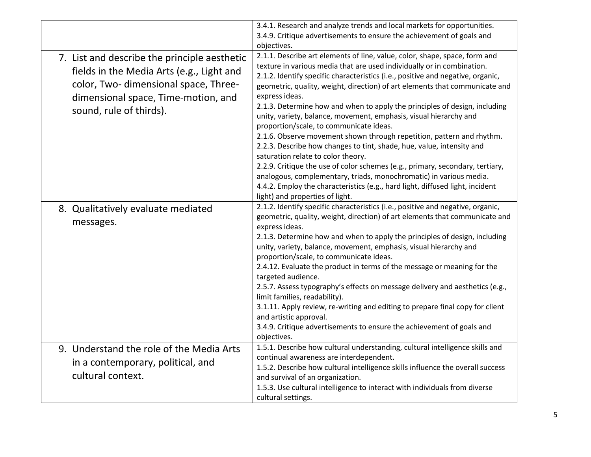|                                                                                                                                                                                                      | 3.4.1. Research and analyze trends and local markets for opportunities.<br>3.4.9. Critique advertisements to ensure the achievement of goals and                                                                                                                                                                                                                                                                                                                                                                                                                                                                                                                                                                                                                                                                                                                                                                                                                                                                         |
|------------------------------------------------------------------------------------------------------------------------------------------------------------------------------------------------------|--------------------------------------------------------------------------------------------------------------------------------------------------------------------------------------------------------------------------------------------------------------------------------------------------------------------------------------------------------------------------------------------------------------------------------------------------------------------------------------------------------------------------------------------------------------------------------------------------------------------------------------------------------------------------------------------------------------------------------------------------------------------------------------------------------------------------------------------------------------------------------------------------------------------------------------------------------------------------------------------------------------------------|
| 7. List and describe the principle aesthetic<br>fields in the Media Arts (e.g., Light and<br>color, Two- dimensional space, Three-<br>dimensional space, Time-motion, and<br>sound, rule of thirds). | objectives.<br>2.1.1. Describe art elements of line, value, color, shape, space, form and<br>texture in various media that are used individually or in combination.<br>2.1.2. Identify specific characteristics (i.e., positive and negative, organic,<br>geometric, quality, weight, direction) of art elements that communicate and<br>express ideas.<br>2.1.3. Determine how and when to apply the principles of design, including<br>unity, variety, balance, movement, emphasis, visual hierarchy and<br>proportion/scale, to communicate ideas.<br>2.1.6. Observe movement shown through repetition, pattern and rhythm.<br>2.2.3. Describe how changes to tint, shade, hue, value, intensity and<br>saturation relate to color theory.<br>2.2.9. Critique the use of color schemes (e.g., primary, secondary, tertiary,<br>analogous, complementary, triads, monochromatic) in various media.<br>4.4.2. Employ the characteristics (e.g., hard light, diffused light, incident<br>light) and properties of light. |
| 8. Qualitatively evaluate mediated<br>messages.                                                                                                                                                      | 2.1.2. Identify specific characteristics (i.e., positive and negative, organic,<br>geometric, quality, weight, direction) of art elements that communicate and<br>express ideas.<br>2.1.3. Determine how and when to apply the principles of design, including<br>unity, variety, balance, movement, emphasis, visual hierarchy and<br>proportion/scale, to communicate ideas.<br>2.4.12. Evaluate the product in terms of the message or meaning for the<br>targeted audience.<br>2.5.7. Assess typography's effects on message delivery and aesthetics (e.g.,<br>limit families, readability).<br>3.1.11. Apply review, re-writing and editing to prepare final copy for client<br>and artistic approval.<br>3.4.9. Critique advertisements to ensure the achievement of goals and<br>objectives.                                                                                                                                                                                                                      |
| 9. Understand the role of the Media Arts<br>in a contemporary, political, and<br>cultural context.                                                                                                   | 1.5.1. Describe how cultural understanding, cultural intelligence skills and<br>continual awareness are interdependent.<br>1.5.2. Describe how cultural intelligence skills influence the overall success<br>and survival of an organization.<br>1.5.3. Use cultural intelligence to interact with individuals from diverse<br>cultural settings.                                                                                                                                                                                                                                                                                                                                                                                                                                                                                                                                                                                                                                                                        |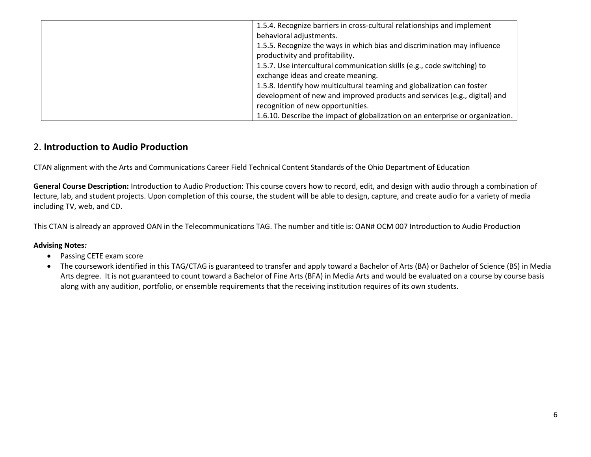| 1.5.4. Recognize barriers in cross-cultural relationships and implement<br>behavioral adjustments.<br>1.5.5. Recognize the ways in which bias and discrimination may influence<br>productivity and profitability.<br>1.5.7. Use intercultural communication skills (e.g., code switching) to<br>exchange ideas and create meaning.<br>1.5.8. Identify how multicultural teaming and globalization can foster |
|--------------------------------------------------------------------------------------------------------------------------------------------------------------------------------------------------------------------------------------------------------------------------------------------------------------------------------------------------------------------------------------------------------------|
|                                                                                                                                                                                                                                                                                                                                                                                                              |
| development of new and improved products and services (e.g., digital) and<br>recognition of new opportunities.                                                                                                                                                                                                                                                                                               |
| 1.6.10. Describe the impact of globalization on an enterprise or organization.                                                                                                                                                                                                                                                                                                                               |

# 2. **Introduction to Audio Production**

CTAN alignment with the Arts and Communications Career Field Technical Content Standards of the Ohio Department of Education

**General Course Description:** Introduction to Audio Production: This course covers how to record, edit, and design with audio through a combination of lecture, lab, and student projects. Upon completion of this course, the student will be able to design, capture, and create audio for a variety of media including TV, web, and CD.

This CTAN is already an approved OAN in the Telecommunications TAG. The number and title is: OAN# OCM 007 Introduction to Audio Production

#### **Advising Notes***:*

- Passing CETE exam score
- The coursework identified in this TAG/CTAG is guaranteed to transfer and apply toward a Bachelor of Arts (BA) or Bachelor of Science (BS) in Media Arts degree. It is not guaranteed to count toward a Bachelor of Fine Arts (BFA) in Media Arts and would be evaluated on a course by course basis along with any audition, portfolio, or ensemble requirements that the receiving institution requires of its own students.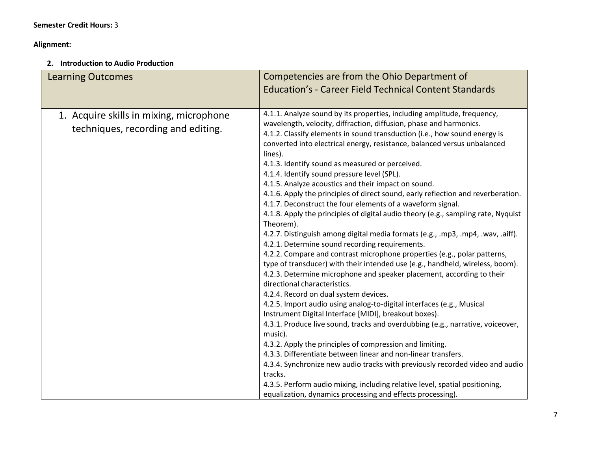## **Alignment:**

# **2. Introduction to Audio Production**

| <b>Learning Outcomes</b>                                                      | Competencies are from the Ohio Department of<br><b>Education's - Career Field Technical Content Standards</b>                                                                                                                                                                                                                                                                                                                                                                                                                                                                                                                                                                                                                                                                                                                                                                                                                                                                                                                                                                                                                                                                                                                                                                                                                                                                                                                                                                                                                                                                                                                                                                                                                                                                          |
|-------------------------------------------------------------------------------|----------------------------------------------------------------------------------------------------------------------------------------------------------------------------------------------------------------------------------------------------------------------------------------------------------------------------------------------------------------------------------------------------------------------------------------------------------------------------------------------------------------------------------------------------------------------------------------------------------------------------------------------------------------------------------------------------------------------------------------------------------------------------------------------------------------------------------------------------------------------------------------------------------------------------------------------------------------------------------------------------------------------------------------------------------------------------------------------------------------------------------------------------------------------------------------------------------------------------------------------------------------------------------------------------------------------------------------------------------------------------------------------------------------------------------------------------------------------------------------------------------------------------------------------------------------------------------------------------------------------------------------------------------------------------------------------------------------------------------------------------------------------------------------|
| 1. Acquire skills in mixing, microphone<br>techniques, recording and editing. | 4.1.1. Analyze sound by its properties, including amplitude, frequency,<br>wavelength, velocity, diffraction, diffusion, phase and harmonics.<br>4.1.2. Classify elements in sound transduction (i.e., how sound energy is<br>converted into electrical energy, resistance, balanced versus unbalanced<br>lines).<br>4.1.3. Identify sound as measured or perceived.<br>4.1.4. Identify sound pressure level (SPL).<br>4.1.5. Analyze acoustics and their impact on sound.<br>4.1.6. Apply the principles of direct sound, early reflection and reverberation.<br>4.1.7. Deconstruct the four elements of a waveform signal.<br>4.1.8. Apply the principles of digital audio theory (e.g., sampling rate, Nyquist<br>Theorem).<br>4.2.7. Distinguish among digital media formats (e.g., .mp3, .mp4, .wav, .aiff).<br>4.2.1. Determine sound recording requirements.<br>4.2.2. Compare and contrast microphone properties (e.g., polar patterns,<br>type of transducer) with their intended use (e.g., handheld, wireless, boom).<br>4.2.3. Determine microphone and speaker placement, according to their<br>directional characteristics.<br>4.2.4. Record on dual system devices.<br>4.2.5. Import audio using analog-to-digital interfaces (e.g., Musical<br>Instrument Digital Interface [MIDI], breakout boxes).<br>4.3.1. Produce live sound, tracks and overdubbing (e.g., narrative, voiceover,<br>music).<br>4.3.2. Apply the principles of compression and limiting.<br>4.3.3. Differentiate between linear and non-linear transfers.<br>4.3.4. Synchronize new audio tracks with previously recorded video and audio<br>tracks.<br>4.3.5. Perform audio mixing, including relative level, spatial positioning,<br>equalization, dynamics processing and effects processing). |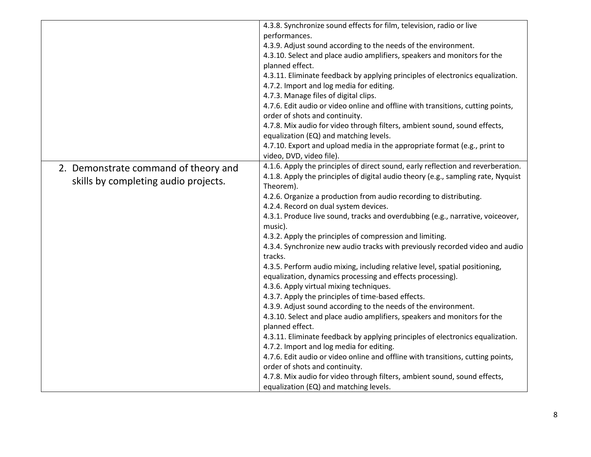|                                      | 4.3.8. Synchronize sound effects for film, television, radio or live              |
|--------------------------------------|-----------------------------------------------------------------------------------|
|                                      | performances.                                                                     |
|                                      | 4.3.9. Adjust sound according to the needs of the environment.                    |
|                                      | 4.3.10. Select and place audio amplifiers, speakers and monitors for the          |
|                                      | planned effect.                                                                   |
|                                      | 4.3.11. Eliminate feedback by applying principles of electronics equalization.    |
|                                      | 4.7.2. Import and log media for editing.                                          |
|                                      | 4.7.3. Manage files of digital clips.                                             |
|                                      | 4.7.6. Edit audio or video online and offline with transitions, cutting points,   |
|                                      | order of shots and continuity.                                                    |
|                                      | 4.7.8. Mix audio for video through filters, ambient sound, sound effects,         |
|                                      | equalization (EQ) and matching levels.                                            |
|                                      | 4.7.10. Export and upload media in the appropriate format (e.g., print to         |
|                                      | video, DVD, video file).                                                          |
| 2. Demonstrate command of theory and | 4.1.6. Apply the principles of direct sound, early reflection and reverberation.  |
|                                      | 4.1.8. Apply the principles of digital audio theory (e.g., sampling rate, Nyquist |
| skills by completing audio projects. | Theorem).                                                                         |
|                                      | 4.2.6. Organize a production from audio recording to distributing.                |
|                                      | 4.2.4. Record on dual system devices.                                             |
|                                      | 4.3.1. Produce live sound, tracks and overdubbing (e.g., narrative, voiceover,    |
|                                      | music).                                                                           |
|                                      | 4.3.2. Apply the principles of compression and limiting.                          |
|                                      | 4.3.4. Synchronize new audio tracks with previously recorded video and audio      |
|                                      | tracks.                                                                           |
|                                      | 4.3.5. Perform audio mixing, including relative level, spatial positioning,       |
|                                      | equalization, dynamics processing and effects processing).                        |
|                                      | 4.3.6. Apply virtual mixing techniques.                                           |
|                                      | 4.3.7. Apply the principles of time-based effects.                                |
|                                      | 4.3.9. Adjust sound according to the needs of the environment.                    |
|                                      | 4.3.10. Select and place audio amplifiers, speakers and monitors for the          |
|                                      | planned effect.                                                                   |
|                                      | 4.3.11. Eliminate feedback by applying principles of electronics equalization.    |
|                                      | 4.7.2. Import and log media for editing.                                          |
|                                      | 4.7.6. Edit audio or video online and offline with transitions, cutting points,   |
|                                      | order of shots and continuity.                                                    |
|                                      | 4.7.8. Mix audio for video through filters, ambient sound, sound effects,         |
|                                      | equalization (EQ) and matching levels.                                            |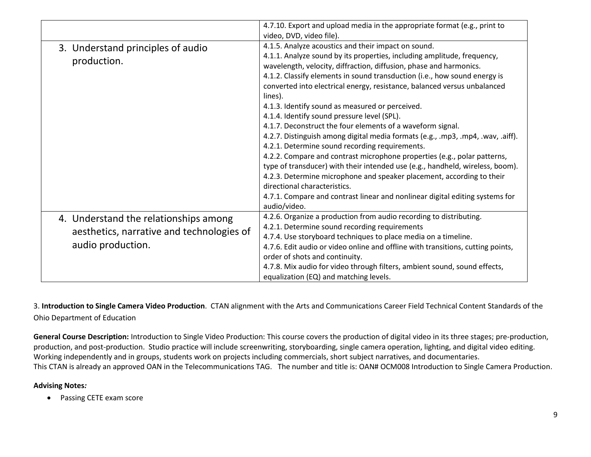|                                                                                                         | 4.7.10. Export and upload media in the appropriate format (e.g., print to<br>video, DVD, video file).                                                                                                                                                                                                                                                                                                                                                                                                                                                                                                                                                                                                                                                                                                                                                                                                                                                                                                                                               |
|---------------------------------------------------------------------------------------------------------|-----------------------------------------------------------------------------------------------------------------------------------------------------------------------------------------------------------------------------------------------------------------------------------------------------------------------------------------------------------------------------------------------------------------------------------------------------------------------------------------------------------------------------------------------------------------------------------------------------------------------------------------------------------------------------------------------------------------------------------------------------------------------------------------------------------------------------------------------------------------------------------------------------------------------------------------------------------------------------------------------------------------------------------------------------|
| 3. Understand principles of audio<br>production.                                                        | 4.1.5. Analyze acoustics and their impact on sound.<br>4.1.1. Analyze sound by its properties, including amplitude, frequency,<br>wavelength, velocity, diffraction, diffusion, phase and harmonics.<br>4.1.2. Classify elements in sound transduction (i.e., how sound energy is<br>converted into electrical energy, resistance, balanced versus unbalanced<br>lines).<br>4.1.3. Identify sound as measured or perceived.<br>4.1.4. Identify sound pressure level (SPL).<br>4.1.7. Deconstruct the four elements of a waveform signal.<br>4.2.7. Distinguish among digital media formats (e.g., .mp3, .mp4, .wav, .aiff).<br>4.2.1. Determine sound recording requirements.<br>4.2.2. Compare and contrast microphone properties (e.g., polar patterns,<br>type of transducer) with their intended use (e.g., handheld, wireless, boom).<br>4.2.3. Determine microphone and speaker placement, according to their<br>directional characteristics.<br>4.7.1. Compare and contrast linear and nonlinear digital editing systems for<br>audio/video. |
| 4. Understand the relationships among<br>aesthetics, narrative and technologies of<br>audio production. | 4.2.6. Organize a production from audio recording to distributing.<br>4.2.1. Determine sound recording requirements<br>4.7.4. Use storyboard techniques to place media on a timeline.<br>4.7.6. Edit audio or video online and offline with transitions, cutting points,<br>order of shots and continuity.<br>4.7.8. Mix audio for video through filters, ambient sound, sound effects,<br>equalization (EQ) and matching levels.                                                                                                                                                                                                                                                                                                                                                                                                                                                                                                                                                                                                                   |

3. **Introduction to Single Camera Video Production**. CTAN alignment with the Arts and Communications Career Field Technical Content Standards of the Ohio Department of Education

**General Course Description:** Introduction to Single Video Production: This course covers the production of digital video in its three stages; pre-production, production, and post-production. Studio practice will include screenwriting, storyboarding, single camera operation, lighting, and digital video editing. Working independently and in groups, students work on projects including commercials, short subject narratives, and documentaries. This CTAN is already an approved OAN in the Telecommunications TAG. The number and title is: OAN# OCM008 Introduction to Single Camera Production.

#### **Advising Notes***:*

• Passing CETE exam score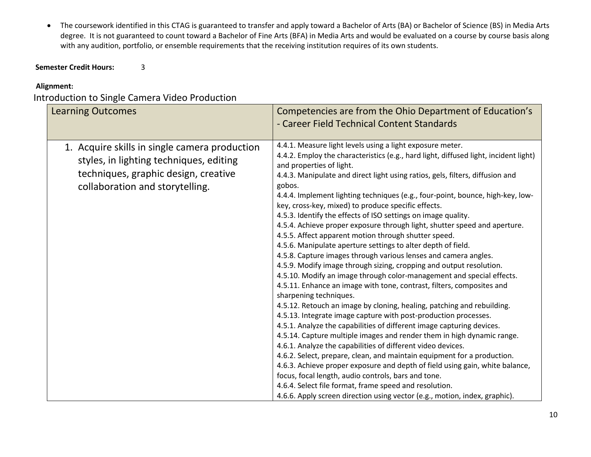The coursework identified in this CTAG is guaranteed to transfer and apply toward a Bachelor of Arts (BA) or Bachelor of Science (BS) in Media Arts degree. It is not guaranteed to count toward a Bachelor of Fine Arts (BFA) in Media Arts and would be evaluated on a course by course basis along with any audition, portfolio, or ensemble requirements that the receiving institution requires of its own students.

# **Semester Credit Hours:** 3

# **Alignment:**

# Introduction to Single Camera Video Production

| <b>Learning Outcomes</b>                                                                                                                                            | Competencies are from the Ohio Department of Education's<br>- Career Field Technical Content Standards                                                                                                                                                                                                                                                                                                                                                                                                                                                                                                                                                                                                                                                                                                                                                                                                                                                                                                                                                                                                                                                                                                                                                                                                                                                                                                                                                                                                                                                                                                                                                                                                                                 |
|---------------------------------------------------------------------------------------------------------------------------------------------------------------------|----------------------------------------------------------------------------------------------------------------------------------------------------------------------------------------------------------------------------------------------------------------------------------------------------------------------------------------------------------------------------------------------------------------------------------------------------------------------------------------------------------------------------------------------------------------------------------------------------------------------------------------------------------------------------------------------------------------------------------------------------------------------------------------------------------------------------------------------------------------------------------------------------------------------------------------------------------------------------------------------------------------------------------------------------------------------------------------------------------------------------------------------------------------------------------------------------------------------------------------------------------------------------------------------------------------------------------------------------------------------------------------------------------------------------------------------------------------------------------------------------------------------------------------------------------------------------------------------------------------------------------------------------------------------------------------------------------------------------------------|
| 1. Acquire skills in single camera production<br>styles, in lighting techniques, editing<br>techniques, graphic design, creative<br>collaboration and storytelling. | 4.4.1. Measure light levels using a light exposure meter.<br>4.4.2. Employ the characteristics (e.g., hard light, diffused light, incident light)<br>and properties of light.<br>4.4.3. Manipulate and direct light using ratios, gels, filters, diffusion and<br>gobos.<br>4.4.4. Implement lighting techniques (e.g., four-point, bounce, high-key, low-<br>key, cross-key, mixed) to produce specific effects.<br>4.5.3. Identify the effects of ISO settings on image quality.<br>4.5.4. Achieve proper exposure through light, shutter speed and aperture.<br>4.5.5. Affect apparent motion through shutter speed.<br>4.5.6. Manipulate aperture settings to alter depth of field.<br>4.5.8. Capture images through various lenses and camera angles.<br>4.5.9. Modify image through sizing, cropping and output resolution.<br>4.5.10. Modify an image through color-management and special effects.<br>4.5.11. Enhance an image with tone, contrast, filters, composites and<br>sharpening techniques.<br>4.5.12. Retouch an image by cloning, healing, patching and rebuilding.<br>4.5.13. Integrate image capture with post-production processes.<br>4.5.1. Analyze the capabilities of different image capturing devices.<br>4.5.14. Capture multiple images and render them in high dynamic range.<br>4.6.1. Analyze the capabilities of different video devices.<br>4.6.2. Select, prepare, clean, and maintain equipment for a production.<br>4.6.3. Achieve proper exposure and depth of field using gain, white balance,<br>focus, focal length, audio controls, bars and tone.<br>4.6.4. Select file format, frame speed and resolution.<br>4.6.6. Apply screen direction using vector (e.g., motion, index, graphic). |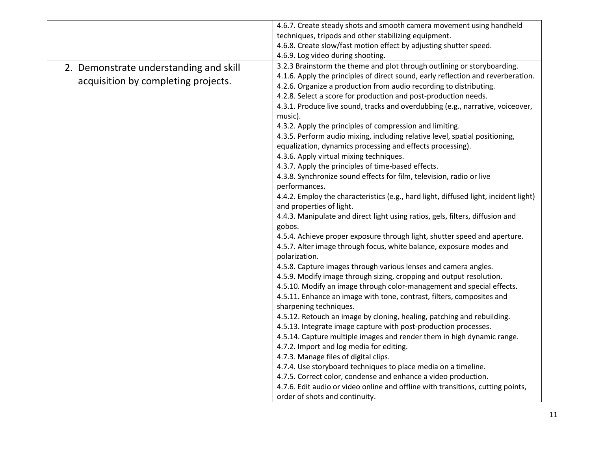|                                        | 4.6.7. Create steady shots and smooth camera movement using handheld                 |
|----------------------------------------|--------------------------------------------------------------------------------------|
|                                        | techniques, tripods and other stabilizing equipment.                                 |
|                                        | 4.6.8. Create slow/fast motion effect by adjusting shutter speed.                    |
|                                        | 4.6.9. Log video during shooting.                                                    |
| 2. Demonstrate understanding and skill | 3.2.3 Brainstorm the theme and plot through outlining or storyboarding.              |
|                                        | 4.1.6. Apply the principles of direct sound, early reflection and reverberation.     |
| acquisition by completing projects.    | 4.2.6. Organize a production from audio recording to distributing.                   |
|                                        | 4.2.8. Select a score for production and post-production needs.                      |
|                                        | 4.3.1. Produce live sound, tracks and overdubbing (e.g., narrative, voiceover,       |
|                                        | music).                                                                              |
|                                        | 4.3.2. Apply the principles of compression and limiting.                             |
|                                        | 4.3.5. Perform audio mixing, including relative level, spatial positioning,          |
|                                        | equalization, dynamics processing and effects processing).                           |
|                                        | 4.3.6. Apply virtual mixing techniques.                                              |
|                                        | 4.3.7. Apply the principles of time-based effects.                                   |
|                                        | 4.3.8. Synchronize sound effects for film, television, radio or live                 |
|                                        | performances.                                                                        |
|                                        | 4.4.2. Employ the characteristics (e.g., hard light, diffused light, incident light) |
|                                        | and properties of light.                                                             |
|                                        | 4.4.3. Manipulate and direct light using ratios, gels, filters, diffusion and        |
|                                        | gobos.                                                                               |
|                                        | 4.5.4. Achieve proper exposure through light, shutter speed and aperture.            |
|                                        | 4.5.7. Alter image through focus, white balance, exposure modes and                  |
|                                        | polarization.                                                                        |
|                                        | 4.5.8. Capture images through various lenses and camera angles.                      |
|                                        | 4.5.9. Modify image through sizing, cropping and output resolution.                  |
|                                        | 4.5.10. Modify an image through color-management and special effects.                |
|                                        | 4.5.11. Enhance an image with tone, contrast, filters, composites and                |
|                                        | sharpening techniques.                                                               |
|                                        | 4.5.12. Retouch an image by cloning, healing, patching and rebuilding.               |
|                                        | 4.5.13. Integrate image capture with post-production processes.                      |
|                                        | 4.5.14. Capture multiple images and render them in high dynamic range.               |
|                                        | 4.7.2. Import and log media for editing.                                             |
|                                        | 4.7.3. Manage files of digital clips.                                                |
|                                        | 4.7.4. Use storyboard techniques to place media on a timeline.                       |
|                                        | 4.7.5. Correct color, condense and enhance a video production.                       |
|                                        | 4.7.6. Edit audio or video online and offline with transitions, cutting points,      |
|                                        | order of shots and continuity.                                                       |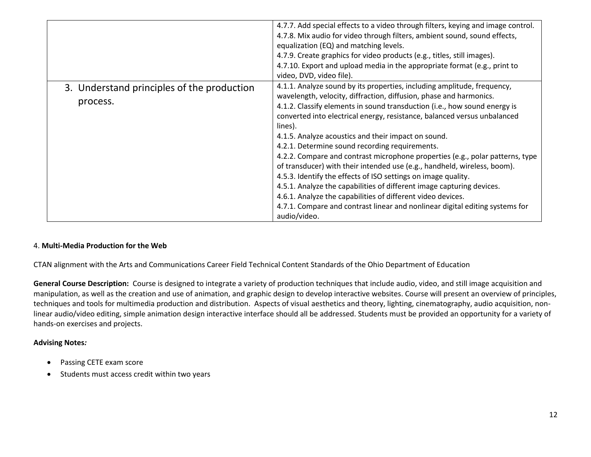|                                                        | 4.7.7. Add special effects to a video through filters, keying and image control.<br>4.7.8. Mix audio for video through filters, ambient sound, sound effects,<br>equalization (EQ) and matching levels.<br>4.7.9. Create graphics for video products (e.g., titles, still images).<br>4.7.10. Export and upload media in the appropriate format (e.g., print to<br>video, DVD, video file).                                                                                                                                                                                                                                                                                                                                                                                                                                                                                                      |
|--------------------------------------------------------|--------------------------------------------------------------------------------------------------------------------------------------------------------------------------------------------------------------------------------------------------------------------------------------------------------------------------------------------------------------------------------------------------------------------------------------------------------------------------------------------------------------------------------------------------------------------------------------------------------------------------------------------------------------------------------------------------------------------------------------------------------------------------------------------------------------------------------------------------------------------------------------------------|
| 3. Understand principles of the production<br>process. | 4.1.1. Analyze sound by its properties, including amplitude, frequency,<br>wavelength, velocity, diffraction, diffusion, phase and harmonics.<br>4.1.2. Classify elements in sound transduction (i.e., how sound energy is<br>converted into electrical energy, resistance, balanced versus unbalanced<br>lines).<br>4.1.5. Analyze acoustics and their impact on sound.<br>4.2.1. Determine sound recording requirements.<br>4.2.2. Compare and contrast microphone properties (e.g., polar patterns, type<br>of transducer) with their intended use (e.g., handheld, wireless, boom).<br>4.5.3. Identify the effects of ISO settings on image quality.<br>4.5.1. Analyze the capabilities of different image capturing devices.<br>4.6.1. Analyze the capabilities of different video devices.<br>4.7.1. Compare and contrast linear and nonlinear digital editing systems for<br>audio/video. |

#### 4. **Multi-Media Production for the Web**

CTAN alignment with the Arts and Communications Career Field Technical Content Standards of the Ohio Department of Education

**General Course Description:** Course is designed to integrate a variety of production techniques that include audio, video, and still image acquisition and manipulation, as well as the creation and use of animation, and graphic design to develop interactive websites. Course will present an overview of principles, techniques and tools for multimedia production and distribution. Aspects of visual aesthetics and theory, lighting, cinematography, audio acquisition, nonlinear audio/video editing, simple animation design interactive interface should all be addressed. Students must be provided an opportunity for a variety of hands-on exercises and projects.

#### **Advising Notes***:*

- Passing CETE exam score
- Students must access credit within two years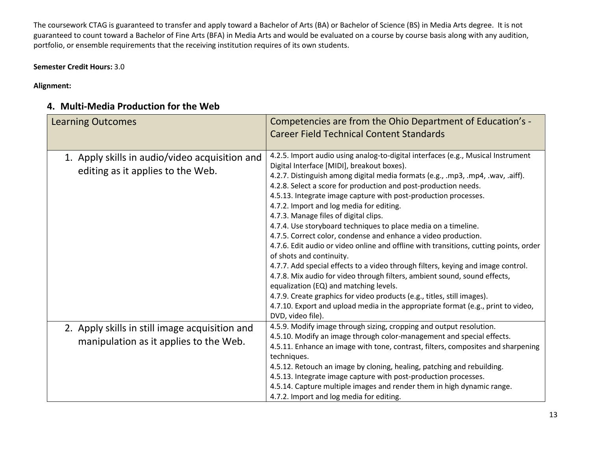The coursework CTAG is guaranteed to transfer and apply toward a Bachelor of Arts (BA) or Bachelor of Science (BS) in Media Arts degree. It is not guaranteed to count toward a Bachelor of Fine Arts (BFA) in Media Arts and would be evaluated on a course by course basis along with any audition, portfolio, or ensemble requirements that the receiving institution requires of its own students.

**Semester Credit Hours:** 3.0

**Alignment:** 

# **4. Multi-Media Production for the Web**

| <b>Learning Outcomes</b>                                                                 | Competencies are from the Ohio Department of Education's -<br><b>Career Field Technical Content Standards</b>                                                                                                                                                                                                                                                                                                                                                                                                                                                                                                                                                                                                                                                                                                                                                                                                                                                                                                                                                                                        |
|------------------------------------------------------------------------------------------|------------------------------------------------------------------------------------------------------------------------------------------------------------------------------------------------------------------------------------------------------------------------------------------------------------------------------------------------------------------------------------------------------------------------------------------------------------------------------------------------------------------------------------------------------------------------------------------------------------------------------------------------------------------------------------------------------------------------------------------------------------------------------------------------------------------------------------------------------------------------------------------------------------------------------------------------------------------------------------------------------------------------------------------------------------------------------------------------------|
| 1. Apply skills in audio/video acquisition and<br>editing as it applies to the Web.      | 4.2.5. Import audio using analog-to-digital interfaces (e.g., Musical Instrument<br>Digital Interface [MIDI], breakout boxes).<br>4.2.7. Distinguish among digital media formats (e.g., .mp3, .mp4, .wav, .aiff).<br>4.2.8. Select a score for production and post-production needs.<br>4.5.13. Integrate image capture with post-production processes.<br>4.7.2. Import and log media for editing.<br>4.7.3. Manage files of digital clips.<br>4.7.4. Use storyboard techniques to place media on a timeline.<br>4.7.5. Correct color, condense and enhance a video production.<br>4.7.6. Edit audio or video online and offline with transitions, cutting points, order<br>of shots and continuity.<br>4.7.7. Add special effects to a video through filters, keying and image control.<br>4.7.8. Mix audio for video through filters, ambient sound, sound effects,<br>equalization (EQ) and matching levels.<br>4.7.9. Create graphics for video products (e.g., titles, still images).<br>4.7.10. Export and upload media in the appropriate format (e.g., print to video,<br>DVD, video file). |
| 2. Apply skills in still image acquisition and<br>manipulation as it applies to the Web. | 4.5.9. Modify image through sizing, cropping and output resolution.<br>4.5.10. Modify an image through color-management and special effects.<br>4.5.11. Enhance an image with tone, contrast, filters, composites and sharpening<br>techniques.<br>4.5.12. Retouch an image by cloning, healing, patching and rebuilding.<br>4.5.13. Integrate image capture with post-production processes.<br>4.5.14. Capture multiple images and render them in high dynamic range.<br>4.7.2. Import and log media for editing.                                                                                                                                                                                                                                                                                                                                                                                                                                                                                                                                                                                   |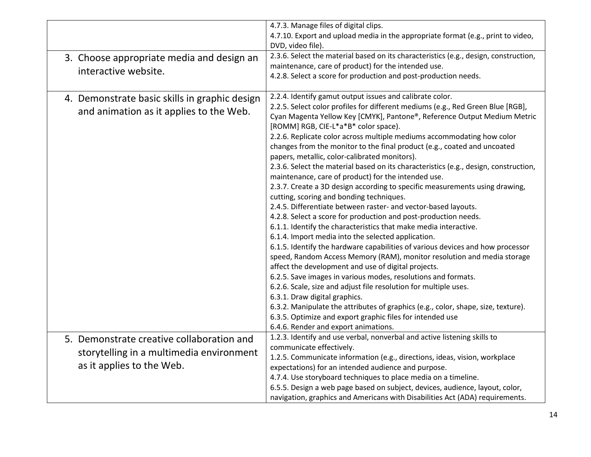|                                                                                                                    | 4.7.3. Manage files of digital clips.<br>4.7.10. Export and upload media in the appropriate format (e.g., print to video,<br>DVD, video file).                                                                                                                                                                                                                                                                                                                                                                                                                                                                                                                                                                                                                                                                                                                                                                                                                                                                                                                                                                                                                                                                                                                                                                                                                                                                                                                                                                                                                                                      |
|--------------------------------------------------------------------------------------------------------------------|-----------------------------------------------------------------------------------------------------------------------------------------------------------------------------------------------------------------------------------------------------------------------------------------------------------------------------------------------------------------------------------------------------------------------------------------------------------------------------------------------------------------------------------------------------------------------------------------------------------------------------------------------------------------------------------------------------------------------------------------------------------------------------------------------------------------------------------------------------------------------------------------------------------------------------------------------------------------------------------------------------------------------------------------------------------------------------------------------------------------------------------------------------------------------------------------------------------------------------------------------------------------------------------------------------------------------------------------------------------------------------------------------------------------------------------------------------------------------------------------------------------------------------------------------------------------------------------------------------|
| 3. Choose appropriate media and design an<br>interactive website.                                                  | 2.3.6. Select the material based on its characteristics (e.g., design, construction,<br>maintenance, care of product) for the intended use.<br>4.2.8. Select a score for production and post-production needs.                                                                                                                                                                                                                                                                                                                                                                                                                                                                                                                                                                                                                                                                                                                                                                                                                                                                                                                                                                                                                                                                                                                                                                                                                                                                                                                                                                                      |
| 4. Demonstrate basic skills in graphic design<br>and animation as it applies to the Web.                           | 2.2.4. Identify gamut output issues and calibrate color.<br>2.2.5. Select color profiles for different mediums (e.g., Red Green Blue [RGB],<br>Cyan Magenta Yellow Key [CMYK], Pantone®, Reference Output Medium Metric<br>[ROMM] RGB, CIE-L*a*B* color space).<br>2.2.6. Replicate color across multiple mediums accommodating how color<br>changes from the monitor to the final product (e.g., coated and uncoated<br>papers, metallic, color-calibrated monitors).<br>2.3.6. Select the material based on its characteristics (e.g., design, construction,<br>maintenance, care of product) for the intended use.<br>2.3.7. Create a 3D design according to specific measurements using drawing,<br>cutting, scoring and bonding techniques.<br>2.4.5. Differentiate between raster- and vector-based layouts.<br>4.2.8. Select a score for production and post-production needs.<br>6.1.1. Identify the characteristics that make media interactive.<br>6.1.4. Import media into the selected application.<br>6.1.5. Identify the hardware capabilities of various devices and how processor<br>speed, Random Access Memory (RAM), monitor resolution and media storage<br>affect the development and use of digital projects.<br>6.2.5. Save images in various modes, resolutions and formats.<br>6.2.6. Scale, size and adjust file resolution for multiple uses.<br>6.3.1. Draw digital graphics.<br>6.3.2. Manipulate the attributes of graphics (e.g., color, shape, size, texture).<br>6.3.5. Optimize and export graphic files for intended use<br>6.4.6. Render and export animations. |
| 5. Demonstrate creative collaboration and<br>storytelling in a multimedia environment<br>as it applies to the Web. | 1.2.3. Identify and use verbal, nonverbal and active listening skills to<br>communicate effectively.<br>1.2.5. Communicate information (e.g., directions, ideas, vision, workplace<br>expectations) for an intended audience and purpose.<br>4.7.4. Use storyboard techniques to place media on a timeline.<br>6.5.5. Design a web page based on subject, devices, audience, layout, color,<br>navigation, graphics and Americans with Disabilities Act (ADA) requirements.                                                                                                                                                                                                                                                                                                                                                                                                                                                                                                                                                                                                                                                                                                                                                                                                                                                                                                                                                                                                                                                                                                                         |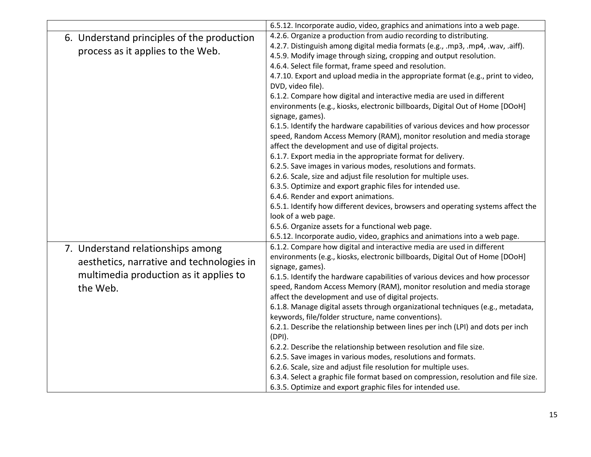|                                                                                                                                      | 6.5.12. Incorporate audio, video, graphics and animations into a web page.                                                                                                                                                                                                                                                                                                                                                                                                                                                                                                                                                                                                                                                                                                                                                                                                                                                                                                                                                                                                                                                                                                                                                                                                   |
|--------------------------------------------------------------------------------------------------------------------------------------|------------------------------------------------------------------------------------------------------------------------------------------------------------------------------------------------------------------------------------------------------------------------------------------------------------------------------------------------------------------------------------------------------------------------------------------------------------------------------------------------------------------------------------------------------------------------------------------------------------------------------------------------------------------------------------------------------------------------------------------------------------------------------------------------------------------------------------------------------------------------------------------------------------------------------------------------------------------------------------------------------------------------------------------------------------------------------------------------------------------------------------------------------------------------------------------------------------------------------------------------------------------------------|
| 6. Understand principles of the production<br>process as it applies to the Web.                                                      | 4.2.6. Organize a production from audio recording to distributing.<br>4.2.7. Distinguish among digital media formats (e.g., .mp3, .mp4, .wav, .aiff).<br>4.5.9. Modify image through sizing, cropping and output resolution.<br>4.6.4. Select file format, frame speed and resolution.<br>4.7.10. Export and upload media in the appropriate format (e.g., print to video,<br>DVD, video file).<br>6.1.2. Compare how digital and interactive media are used in different<br>environments (e.g., kiosks, electronic billboards, Digital Out of Home [DOoH]<br>signage, games).<br>6.1.5. Identify the hardware capabilities of various devices and how processor<br>speed, Random Access Memory (RAM), monitor resolution and media storage<br>affect the development and use of digital projects.<br>6.1.7. Export media in the appropriate format for delivery.<br>6.2.5. Save images in various modes, resolutions and formats.<br>6.2.6. Scale, size and adjust file resolution for multiple uses.<br>6.3.5. Optimize and export graphic files for intended use.<br>6.4.6. Render and export animations.<br>6.5.1. Identify how different devices, browsers and operating systems affect the<br>look of a web page.<br>6.5.6. Organize assets for a functional web page. |
| 7. Understand relationships among<br>aesthetics, narrative and technologies in<br>multimedia production as it applies to<br>the Web. | 6.5.12. Incorporate audio, video, graphics and animations into a web page.<br>6.1.2. Compare how digital and interactive media are used in different<br>environments (e.g., kiosks, electronic billboards, Digital Out of Home [DOoH]<br>signage, games).<br>6.1.5. Identify the hardware capabilities of various devices and how processor<br>speed, Random Access Memory (RAM), monitor resolution and media storage<br>affect the development and use of digital projects.<br>6.1.8. Manage digital assets through organizational techniques (e.g., metadata,<br>keywords, file/folder structure, name conventions).<br>6.2.1. Describe the relationship between lines per inch (LPI) and dots per inch<br>(DPI).<br>6.2.2. Describe the relationship between resolution and file size.<br>6.2.5. Save images in various modes, resolutions and formats.<br>6.2.6. Scale, size and adjust file resolution for multiple uses.<br>6.3.4. Select a graphic file format based on compression, resolution and file size.<br>6.3.5. Optimize and export graphic files for intended use.                                                                                                                                                                                         |